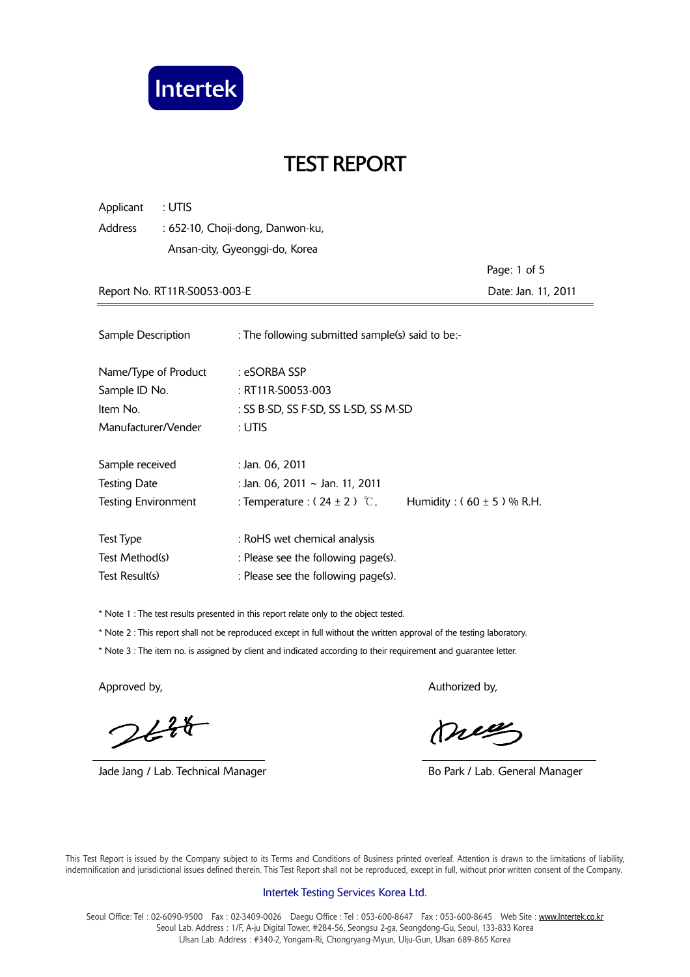

Applicant : UTIS Address : 652-10, Choji-dong, Danwon-ku, Ansan-city, Gyeonggi-do, Korea

Report No. RT11R-S0053-003-E Date: Jan. 11, 2011

Page: 1 of 5

| Sample Description                                                       | : The following submitted sample(s) said to be:-                                    |                               |
|--------------------------------------------------------------------------|-------------------------------------------------------------------------------------|-------------------------------|
| Name/Type of Product<br>Sample ID No.<br>Item No.<br>Manufacturer/Vender | : eSORBA SSP<br>: RT11R-S0053-003<br>: SS B-SD, SS F-SD, SS L-SD, SS M-SD<br>: UTIS |                               |
|                                                                          |                                                                                     |                               |
| Sample received<br><b>Testing Date</b>                                   | : Jan. 06, 2011<br>: Jan. 06, 2011 ~ Jan. 11, 2011                                  |                               |
| Testing Environment                                                      | : Temperature : $(24 \pm 2)$ °C,                                                    | Humidity: $(60 \pm 5)$ % R.H. |
| <b>Test Type</b>                                                         | : RoHS wet chemical analysis                                                        |                               |
| Test Method(s)                                                           | : Please see the following page(s).                                                 |                               |
| Test Result(s)                                                           | : Please see the following page(s).                                                 |                               |

\* Note 1 : The test results presented in this report relate only to the object tested.

\* Note 2 : This report shall not be reproduced except in full without the written approval of the testing laboratory.

\* Note 3 : The item no. is assigned by client and indicated according to their requirement and guarantee letter.

 $244$ 

Jade Jang / Lab. Technical Manager **Bo Park / Lab. General Manager** Bo Park / Lab. General Manager

Approved by, Authorized by, Authorized by, Authorized by,

meg

 This Test Report is issued by the Company subject to its Terms and Conditions of Business printed overleaf. Attention is drawn to the limitations of liability, indemnification and jurisdictional issues defined therein. This Test Report shall not be reproduced, except in full, without prior written consent of the Company.

#### Intertek Testing Services Korea Ltd.

Seoul Office: Tel: 02-6090-9500 Fax: 02-3409-0026 Daegu Office: Tel: 053-600-8647 Fax: 053-600-8645 Web Site: www.Intertek.co.kr Seoul Lab. Address : 1/F, A-ju Digital Tower, #284-56, Seongsu 2-ga, Seongdong-Gu, Seoul, 133-833 Korea Ulsan Lab. Address : #340-2, Yongam-Ri, Chongryang-Myun, Ulju-Gun, Ulsan 689-865 Korea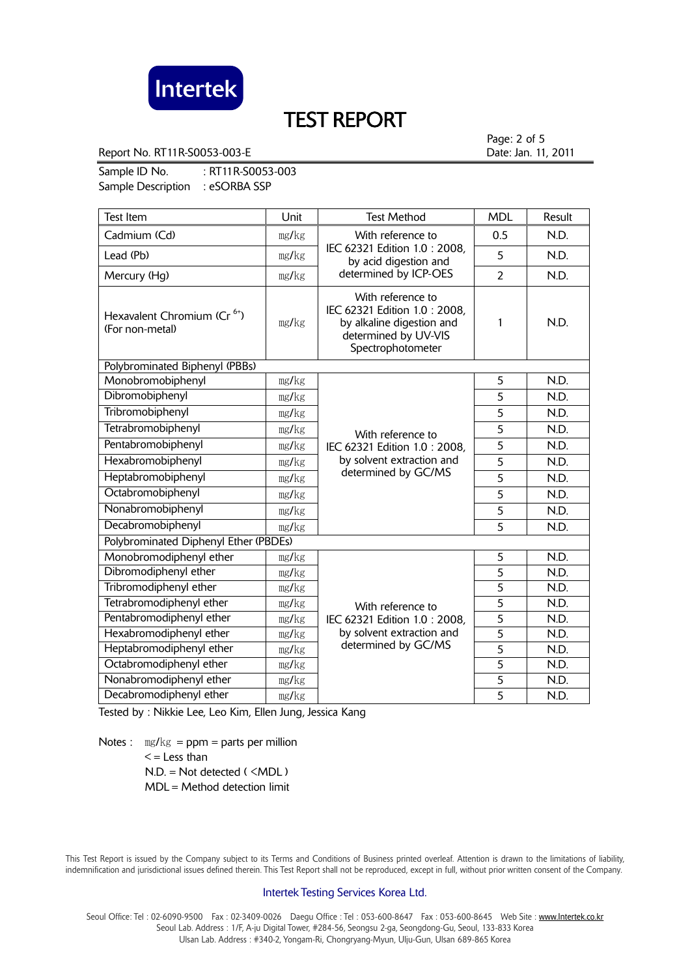

Report No. RT11R-S0053-003-E Date: Jan. 11, 2011

Page: 2 of 5

Sample ID No. : RT11R-S0053-003 Sample Description : eSORBA SSP

| <b>Test Item</b>                                           | Unit  | <b>Test Method</b>                                                                                                                                                                       | <b>MDL</b>     | Result |
|------------------------------------------------------------|-------|------------------------------------------------------------------------------------------------------------------------------------------------------------------------------------------|----------------|--------|
| Cadmium (Cd)                                               | mg/kg | With reference to                                                                                                                                                                        | 0.5            | N.D.   |
| Lead (Pb)                                                  | mg/kg | IEC 62321 Edition 1.0 : 2008,<br>by acid digestion and<br>determined by ICP-OES                                                                                                          | 5              | N.D.   |
| Mercury (Hg)                                               | mg/kg |                                                                                                                                                                                          | $\overline{2}$ | N.D.   |
| Hexavalent Chromium (Cr <sup>6+</sup> )<br>(For non-metal) | mg/kg | With reference to<br>IEC 62321 Edition 1.0: 2008,<br>by alkaline digestion and<br>determined by UV-VIS<br>Spectrophotometer                                                              | 1              | N.D.   |
| Polybrominated Biphenyl (PBBs)                             |       |                                                                                                                                                                                          |                |        |
| Monobromobiphenyl                                          | mg/kg | With reference to<br>IEC 62321 Edition 1.0: 2008,<br>by solvent extraction and<br>determined by GC/MS                                                                                    | 5              | N.D.   |
| Dibromobiphenyl                                            | mg/kg |                                                                                                                                                                                          | 5              | N.D.   |
| Tribromobiphenyl                                           | mg/kg |                                                                                                                                                                                          | 5              | N.D.   |
| Tetrabromobiphenyl                                         | mg/kg |                                                                                                                                                                                          | 5              | N.D.   |
| Pentabromobiphenyl                                         | mg/kg |                                                                                                                                                                                          | 5              | N.D.   |
| Hexabromobiphenyl                                          | mg/kg |                                                                                                                                                                                          | 5              | N.D.   |
| Heptabromobiphenyl                                         | mg/kg |                                                                                                                                                                                          | 5              | N.D.   |
| Octabromobiphenyl                                          | mg/kg |                                                                                                                                                                                          | 5              | N.D.   |
| Nonabromobiphenyl                                          | mg/kg |                                                                                                                                                                                          | 5              | N.D.   |
| Decabromobiphenyl                                          | mg/kg |                                                                                                                                                                                          | 5              | N.D.   |
| Polybrominated Diphenyl Ether (PBDEs)                      |       |                                                                                                                                                                                          |                |        |
| Monobromodiphenyl ether                                    | mg/kg |                                                                                                                                                                                          | 5              | N.D.   |
| Dibromodiphenyl ether                                      | mg/kg | 5<br>5<br>$\overline{5}$<br>With reference to<br>$\overline{5}$<br>IEC 62321 Edition 1.0 : 2008,<br>$\overline{5}$<br>by solvent extraction and<br>determined by GC/MS<br>$\overline{5}$ |                | N.D.   |
| Tribromodiphenyl ether                                     | mg/kg |                                                                                                                                                                                          |                | N.D.   |
| Tetrabromodiphenyl ether                                   | mg/kg |                                                                                                                                                                                          |                | N.D.   |
| Pentabromodiphenyl ether                                   | mg/kg |                                                                                                                                                                                          |                | N.D.   |
| Hexabromodiphenyl ether                                    | mg/kg |                                                                                                                                                                                          |                | N.D.   |
| Heptabromodiphenyl ether                                   | mg/kg |                                                                                                                                                                                          |                | N.D.   |
| Octabromodiphenyl ether                                    | mg/kg |                                                                                                                                                                                          | $\overline{5}$ | N.D.   |
| Nonabromodiphenyl ether                                    | mg/kg | $\overline{5}$<br>$\overline{5}$                                                                                                                                                         | N.D.           |        |
| Decabromodiphenyl ether                                    | mg/kg |                                                                                                                                                                                          | N.D.           |        |

Tested by : Nikkie Lee, Leo Kim, Ellen Jung, Jessica Kang

Notes :  $mg/kg = ppm = parts per million$  $\leq$  = Less than  $N.D. = Not detected ( **MDL**)$ MDL = Method detection limit

 This Test Report is issued by the Company subject to its Terms and Conditions of Business printed overleaf. Attention is drawn to the limitations of liability, indemnification and jurisdictional issues defined therein. This Test Report shall not be reproduced, except in full, without prior written consent of the Company.

#### Intertek Testing Services Korea Ltd.

Seoul Office: Tel: 02-6090-9500 Fax: 02-3409-0026 Daegu Office: Tel: 053-600-8647 Fax: 053-600-8645 Web Site: www.Intertek.co.kr Seoul Lab. Address : 1/F, A-ju Digital Tower, #284-56, Seongsu 2-ga, Seongdong-Gu, Seoul, 133-833 Korea Ulsan Lab. Address : #340-2, Yongam-Ri, Chongryang-Myun, Ulju-Gun, Ulsan 689-865 Korea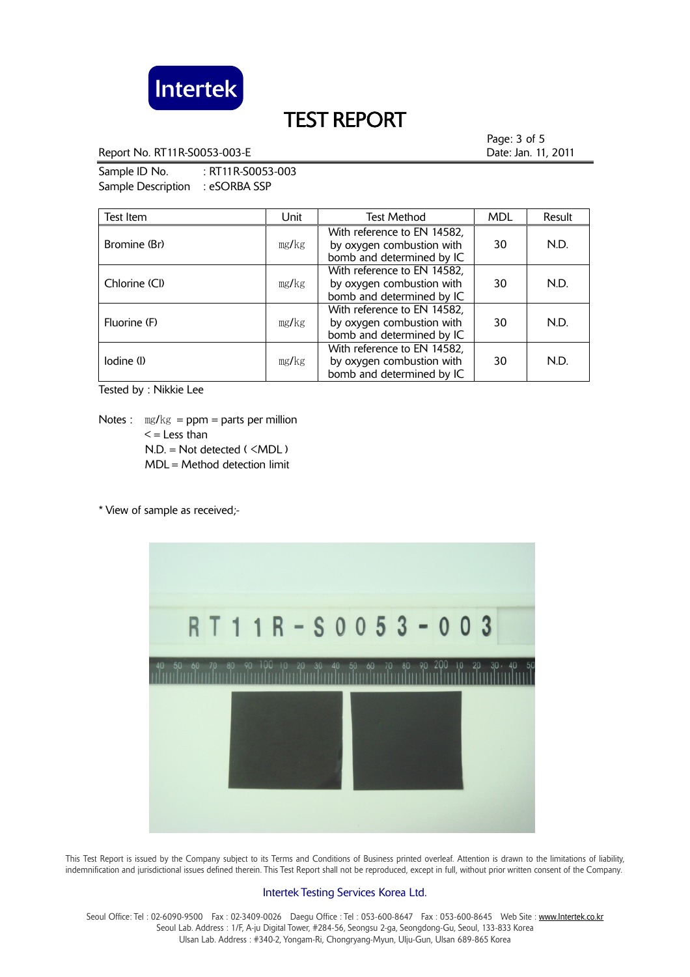

Report No. RT11R-S0053-003-E Date: Jan. 11, 2011

Page: 3 of 5

Sample ID No. : RT11R-S0053-003 Sample Description : eSORBA SSP

| Test Item     | Unit  | <b>Test Method</b>                                                                    | <b>MDL</b> | Result |
|---------------|-------|---------------------------------------------------------------------------------------|------------|--------|
| Bromine (Br)  | mg/kg | With reference to EN 14582,<br>by oxygen combustion with<br>bomb and determined by IC | 30         | N.D.   |
| Chlorine (Cl) | mg/kg | With reference to EN 14582,<br>by oxygen combustion with<br>bomb and determined by IC | 30         | N.D.   |
| Fluorine (F)  | mg/kg | With reference to EN 14582,<br>by oxygen combustion with<br>bomb and determined by IC | 30         | N.D.   |
| lodine (l)    | mg/kg | With reference to EN 14582,<br>by oxygen combustion with<br>bomb and determined by IC | 30         | N.D.   |

Tested by : Nikkie Lee

Notes :  $mg/kg = ppm = parts per million$  $\leq$  = Less than N.D. = Not detected ( <MDL ) MDL = Method detection limit

\* View of sample as received;-



 This Test Report is issued by the Company subject to its Terms and Conditions of Business printed overleaf. Attention is drawn to the limitations of liability, indemnification and jurisdictional issues defined therein. This Test Report shall not be reproduced, except in full, without prior written consent of the Company.

#### Intertek Testing Services Korea Ltd.

Seoul Office: Tel: 02-6090-9500 Fax: 02-3409-0026 Daegu Office: Tel: 053-600-8647 Fax: 053-600-8645 Web Site: www.Intertek.co.kr Seoul Lab. Address : 1/F, A-ju Digital Tower, #284-56, Seongsu 2-ga, Seongdong-Gu, Seoul, 133-833 Korea Ulsan Lab. Address : #340-2, Yongam-Ri, Chongryang-Myun, Ulju-Gun, Ulsan 689-865 Korea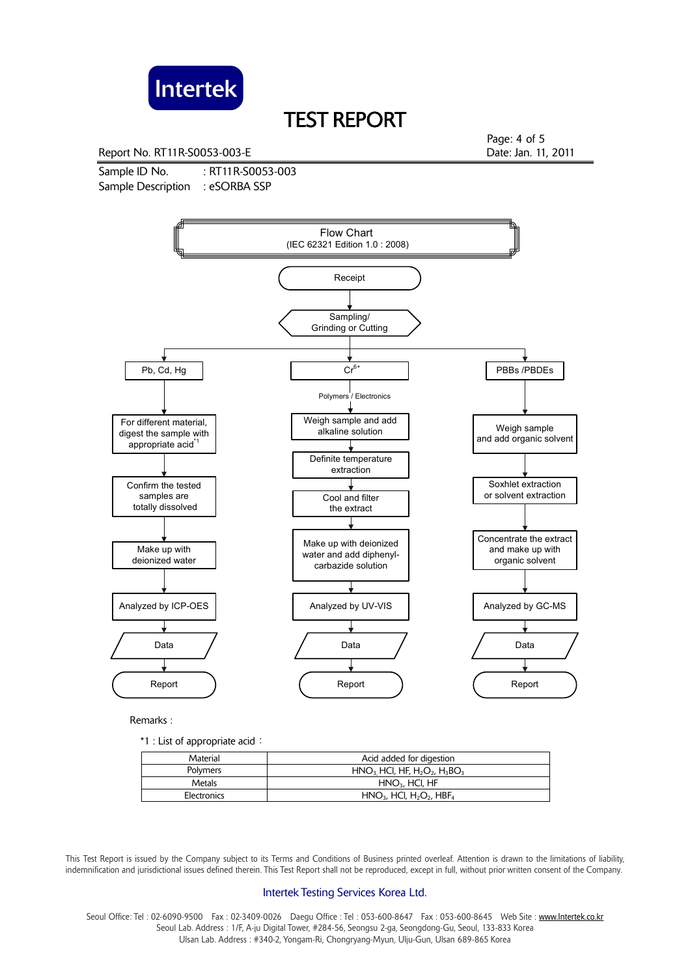

Report No. RT11R-S0053-003-E Date: Jan. 11, 2011

Page: 4 of 5

Sample ID No. : RT11R-S0053-003 Sample Description : eSORBA SSP



Remarks :

\*1 : List of appropriate acid:

| Material    | Acid added for digestion                                       |
|-------------|----------------------------------------------------------------|
| Polymers    | $HNO3 HCl, HF, H2O2, H3BO3$                                    |
| Metals      | $HNO3$ , HCl, HF                                               |
| Electronics | $HNO3$ , HCI, H <sub>2</sub> O <sub>2</sub> , HBF <sub>4</sub> |

 This Test Report is issued by the Company subject to its Terms and Conditions of Business printed overleaf. Attention is drawn to the limitations of liability, indemnification and jurisdictional issues defined therein. This Test Report shall not be reproduced, except in full, without prior written consent of the Company.

#### Intertek Testing Services Korea Ltd.

Seoul Office: Tel : 02-6090-9500 Fax : 02-3409-0026 Daegu Office : Tel : 053-600-8647 Fax : 053-600-8645 Web Site : www.Intertek.co.kr Seoul Lab. Address : 1/F, A-ju Digital Tower, #284-56, Seongsu 2-ga, Seongdong-Gu, Seoul, 133-833 Korea Ulsan Lab. Address : #340-2, Yongam-Ri, Chongryang-Myun, Ulju-Gun, Ulsan 689-865 Korea